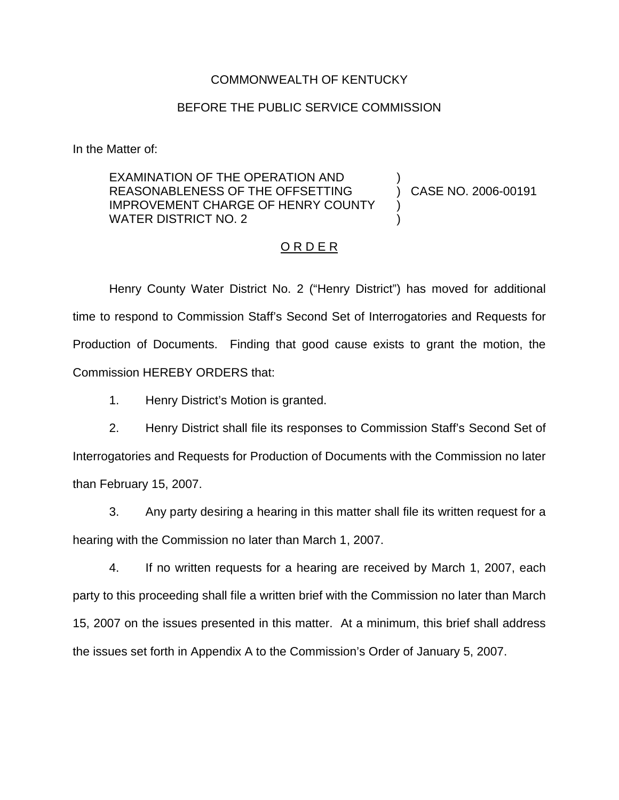## COMMONWEALTH OF KENTUCKY

## BEFORE THE PUBLIC SERVICE COMMISSION

In the Matter of:

EXAMINATION OF THE OPERATION AND REASONABLENESS OF THE OFFSETTING IMPROVEMENT CHARGE OF HENRY COUNTY WATER DISTRICT NO. 2 ) ) CASE NO. 2006-00191 ) )

## O R D E R

Henry County Water District No. 2 ("Henry District") has moved for additional time to respond to Commission Staff's Second Set of Interrogatories and Requests for Production of Documents. Finding that good cause exists to grant the motion, the Commission HEREBY ORDERS that:

1. Henry District's Motion is granted.

2. Henry District shall file its responses to Commission Staff's Second Set of Interrogatories and Requests for Production of Documents with the Commission no later than February 15, 2007.

3. Any party desiring a hearing in this matter shall file its written request for a hearing with the Commission no later than March 1, 2007.

4. If no written requests for a hearing are received by March 1, 2007, each party to this proceeding shall file a written brief with the Commission no later than March 15, 2007 on the issues presented in this matter. At a minimum, this brief shall address the issues set forth in Appendix A to the Commission's Order of January 5, 2007.